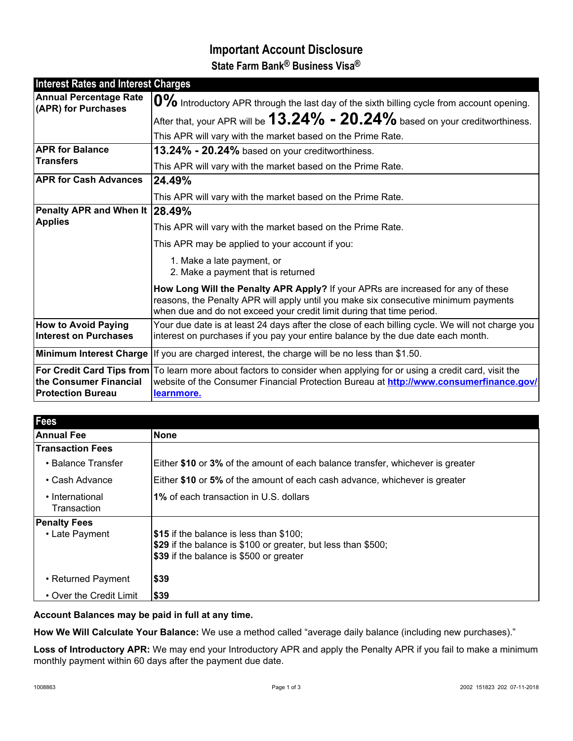# **Important Account Disclosure State Farm Bank® Business Visa®**

| <b>Interest Rates and Interest Charges</b>           |                                                                                                                                                                                                                                                  |
|------------------------------------------------------|--------------------------------------------------------------------------------------------------------------------------------------------------------------------------------------------------------------------------------------------------|
| <b>Annual Percentage Rate</b><br>(APR) for Purchases | 0% Introductory APR through the last day of the sixth billing cycle from account opening.                                                                                                                                                        |
|                                                      | After that, your APR will be $13.24\%$ - $20.24\%$ based on your creditworthiness.                                                                                                                                                               |
|                                                      | This APR will vary with the market based on the Prime Rate.                                                                                                                                                                                      |
| <b>APR for Balance</b><br><b>Transfers</b>           | 13.24% - 20.24% based on your creditworthiness.                                                                                                                                                                                                  |
|                                                      | This APR will vary with the market based on the Prime Rate.                                                                                                                                                                                      |
| <b>APR for Cash Advances</b>                         | 24.49%                                                                                                                                                                                                                                           |
|                                                      | This APR will vary with the market based on the Prime Rate.                                                                                                                                                                                      |
| Penalty APR and When It 28.49%<br><b>Applies</b>     |                                                                                                                                                                                                                                                  |
|                                                      | This APR will vary with the market based on the Prime Rate.                                                                                                                                                                                      |
|                                                      | This APR may be applied to your account if you:                                                                                                                                                                                                  |
|                                                      | 1. Make a late payment, or<br>2. Make a payment that is returned                                                                                                                                                                                 |
|                                                      | How Long Will the Penalty APR Apply? If your APRs are increased for any of these<br>reasons, the Penalty APR will apply until you make six consecutive minimum payments<br>when due and do not exceed your credit limit during that time period. |
| <b>How to Avoid Paying</b><br>Interest on Purchases  | Your due date is at least 24 days after the close of each billing cycle. We will not charge you<br>interest on purchases if you pay your entire balance by the due date each month.                                                              |
|                                                      | Minimum Interest Charge   If you are charged interest, the charge will be no less than \$1.50.                                                                                                                                                   |
| the Consumer Financial<br><b>Protection Bureau</b>   | For Credit Card Tips from To learn more about factors to consider when applying for or using a credit card, visit the<br>website of the Consumer Financial Protection Bureau at http://www.consumerfinance.gov/<br>learnmore.                    |

| <b>Fees</b>                    |                                                                                |
|--------------------------------|--------------------------------------------------------------------------------|
| <b>Annual Fee</b>              | None                                                                           |
| <b>Transaction Fees</b>        |                                                                                |
| • Balance Transfer             | Either \$10 or 3% of the amount of each balance transfer, whichever is greater |
| • Cash Advance                 | Either \$10 or 5% of the amount of each cash advance, whichever is greater     |
| • International<br>Transaction | <b>1% of each transaction in U.S. dollars</b>                                  |
| <b>Penalty Fees</b>            |                                                                                |
| • Late Payment                 | \$15 if the balance is less than \$100;                                        |
|                                | \$29 if the balance is \$100 or greater, but less than \$500;                  |
|                                | \$39 if the balance is \$500 or greater                                        |
| • Returned Payment             | \$39                                                                           |
| • Over the Credit Limit        | \$39                                                                           |

### **Account Balances may be paid in full at any time.**

**How We Will Calculate Your Balance:** We use a method called "average daily balance (including new purchases)."

**Loss of Introductory APR:** We may end your Introductory APR and apply the Penalty APR if you fail to make a minimum monthly payment within 60 days after the payment due date.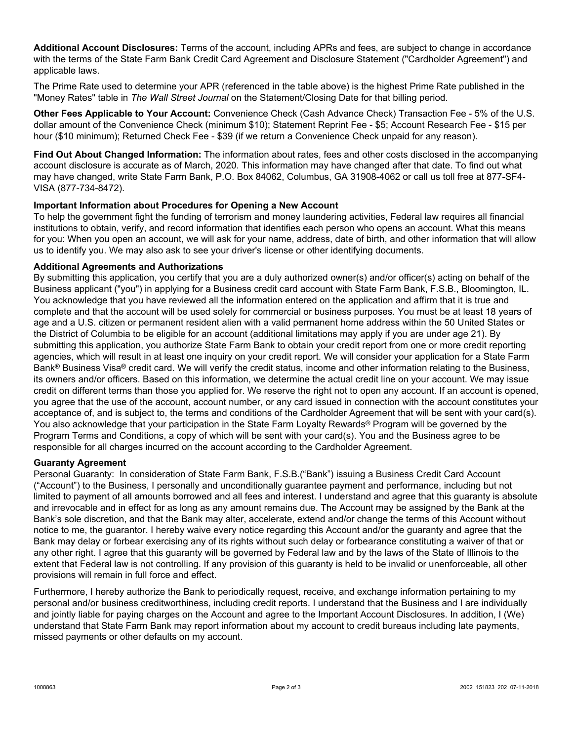**Additional Account Disclosures:** Terms of the account, including APRs and fees, are subject to change in accordance with the terms of the State Farm Bank Credit Card Agreement and Disclosure Statement ("Cardholder Agreement") and applicable laws.

The Prime Rate used to determine your APR (referenced in the table above) is the highest Prime Rate published in the "Money Rates" table in *The Wall Street Journal* on the Statement/Closing Date for that billing period.

**Other Fees Applicable to Your Account:** Convenience Check (Cash Advance Check) Transaction Fee - 5% of the U.S. dollar amount of the Convenience Check (minimum \$10); Statement Reprint Fee - \$5; Account Research Fee - \$15 per hour (\$10 minimum); Returned Check Fee - \$39 (if we return a Convenience Check unpaid for any reason).

**Find Out About Changed Information:** The information about rates, fees and other costs disclosed in the accompanying account disclosure is accurate as of March, 2020. This information may have changed after that date. To find out what may have changed, write State Farm Bank, P.O. Box 84062, Columbus, GA 31908-4062 or call us toll free at 877-SF4- VISA (877-734-8472).

## **Important Information about Procedures for Opening a New Account**

To help the government fight the funding of terrorism and money laundering activities, Federal law requires all financial institutions to obtain, verify, and record information that identifies each person who opens an account. What this means for you: When you open an account, we will ask for your name, address, date of birth, and other information that will allow us to identify you. We may also ask to see your driver's license or other identifying documents.

#### **Additional Agreements and Authorizations**

By submitting this application, you certify that you are a duly authorized owner(s) and/or officer(s) acting on behalf of the Business applicant ("you") in applying for a Business credit card account with State Farm Bank, F.S.B., Bloomington, IL. You acknowledge that you have reviewed all the information entered on the application and affirm that it is true and complete and that the account will be used solely for commercial or business purposes. You must be at least 18 years of age and a U.S. citizen or permanent resident alien with a valid permanent home address within the 50 United States or the District of Columbia to be eligible for an account (additional limitations may apply if you are under age 21). By submitting this application, you authorize State Farm Bank to obtain your credit report from one or more credit reporting agencies, which will result in at least one inquiry on your credit report. We will consider your application for a State Farm Bank<sup>®</sup> Business Visa<sup>®</sup> credit card. We will verify the credit status, income and other information relating to the Business, its owners and/or officers. Based on this information, we determine the actual credit line on your account. We may issue credit on different terms than those you applied for. We reserve the right not to open any account. If an account is opened, you agree that the use of the account, account number, or any card issued in connection with the account constitutes your acceptance of, and is subject to, the terms and conditions of the Cardholder Agreement that will be sent with your card(s). You also acknowledge that your participation in the State Farm Loyalty Rewards® Program will be governed by the Program Terms and Conditions, a copy of which will be sent with your card(s). You and the Business agree to be responsible for all charges incurred on the account according to the Cardholder Agreement.

#### **Guaranty Agreement**

Personal Guaranty: In consideration of State Farm Bank, F.S.B.("Bank") issuing a Business Credit Card Account ("Account") to the Business, I personally and unconditionally guarantee payment and performance, including but not limited to payment of all amounts borrowed and all fees and interest. I understand and agree that this guaranty is absolute and irrevocable and in effect for as long as any amount remains due. The Account may be assigned by the Bank at the Bank's sole discretion, and that the Bank may alter, accelerate, extend and/or change the terms of this Account without notice to me, the guarantor. I hereby waive every notice regarding this Account and/or the guaranty and agree that the Bank may delay or forbear exercising any of its rights without such delay or forbearance constituting a waiver of that or any other right. I agree that this guaranty will be governed by Federal law and by the laws of the State of Illinois to the extent that Federal law is not controlling. If any provision of this guaranty is held to be invalid or unenforceable, all other provisions will remain in full force and effect.

Furthermore, I hereby authorize the Bank to periodically request, receive, and exchange information pertaining to my personal and/or business creditworthiness, including credit reports. I understand that the Business and I are individually and jointly liable for paying charges on the Account and agree to the Important Account Disclosures. In addition, I (We) understand that State Farm Bank may report information about my account to credit bureaus including late payments, missed payments or other defaults on my account.